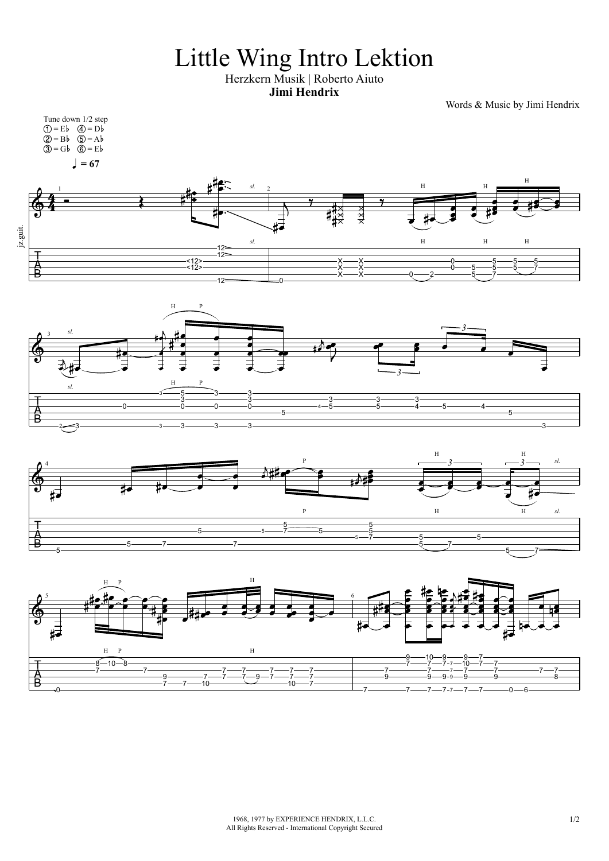## Little Wing Intro Lektion

Herzkern Musik | Roberto Aiuto **Jimi Hendrix**

Words & Music by Jimi Hendrix

1968, 1977 by EXPERIENCE HENDRIX, L.L.C. 1/2 All Rights Reserved - International Copyright Secured